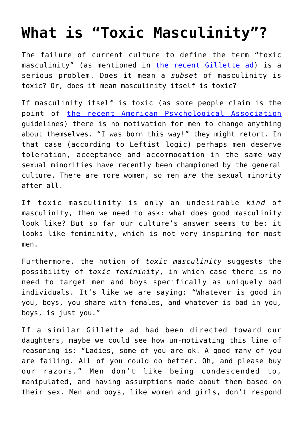## **[What is "Toxic Masculinity"?](https://intellectualtakeout.org/2019/02/what-is-toxic-masculinity/)**

The failure of current culture to define the term "toxic masculinity" (as mentioned in [the recent Gillette ad](https://www.youtube.com/watch?v=koPmuEyP3a0)) is a serious problem. Does it mean a *subset* of masculinity is toxic? Or, does it mean masculinity itself is toxic?

If masculinity itself is toxic (as some people claim is the point of [the recent American Psychological Association](https://www.apa.org/monitor/2019/01/ce-corner.aspx) guidelines) there is no motivation for men to change anything about themselves. "I was born this way!" they might retort. In that case (according to Leftist logic) perhaps men deserve toleration, acceptance and accommodation in the same way sexual minorities have recently been championed by the general culture. There are more women, so men *are* the sexual minority after all.

If toxic masculinity is only an undesirable *kind* of masculinity, then we need to ask: what does good masculinity look like? But so far our culture's answer seems to be: it looks like femininity, which is not very inspiring for most men.

Furthermore, the notion of *toxic masculinity* suggests the possibility of *toxic femininity*, in which case there is no need to target men and boys specifically as uniquely bad individuals. It's like we are saying: "Whatever is good in you, boys, you share with females, and whatever is bad in you, boys, is just you."

If a similar Gillette ad had been directed toward our daughters, maybe we could see how un-motivating this line of reasoning is: "Ladies, some of you are ok. A good many of you are failing. ALL of you could do better. Oh, and please buy our razors." Men don't like being condescended to, manipulated, and having assumptions made about them based on their sex. Men and boys, like women and girls, don't respond